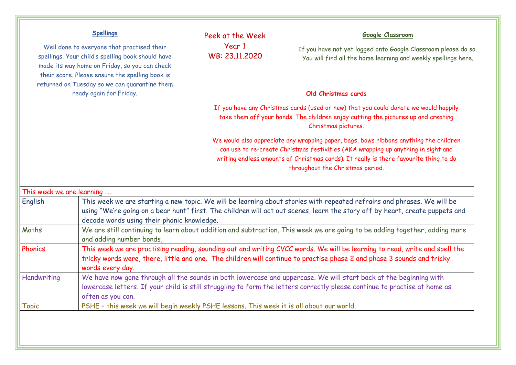## **Spellings**

Well done to everyone that practised their spellings. Your child's spelling book should have made its way home on Friday, so you can check their score. Please ensure the spelling book is returned on Tuesday so we can quarantine them ready again for Friday.

Peek at the Week Year 1 WB: 23.11.2020

## **Google Classroom**

If you have not yet logged onto Google Classroom please do so. You will find all the home learning and weekly spellings here.

## **Old Christmas cards**

If you have any Christmas cards (used or new) that you could donate we would happily take them off your hands. The children enjoy cutting the pictures up and creating Christmas pictures.

We would also appreciate any wrapping paper, bags, bows ribbons anything the children can use to re-create Christmas festivities (AKA wrapping up anything in sight and writing endless amounts of Christmas cards). It really is there favourite thing to do throughout the Christmas period.

| This week we are learning |                                                                                                                                                                                                                                                                                                       |
|---------------------------|-------------------------------------------------------------------------------------------------------------------------------------------------------------------------------------------------------------------------------------------------------------------------------------------------------|
| English                   | This week we are starting a new topic. We will be learning about stories with repeated refrains and phrases. We will be<br>using "We're going on a bear hunt" first. The children will act out scenes, learn the story off by heart, create puppets and<br>decode words using their phonic knowledge. |
| Maths                     | We are still continuing to learn about addition and subtraction. This week we are going to be adding together, adding more<br>and adding number bonds,                                                                                                                                                |
| Phonics                   | This week we are practising reading, sounding out and writing CVCC words. We will be learning to read, write and spell the<br>tricky words were, there, little and one. The children will continue to practise phase 2 and phase 3 sounds and tricky<br>words every day.                              |
| Handwriting               | We have now gone through all the sounds in both lowercase and uppercase. We will start back at the beginning with<br>lowercase letters. If your child is still struggling to form the letters correctly please continue to practise at home as<br>often as you can.                                   |
| <b>Topic</b>              | PSHE - this week we will begin weekly PSHE lessons. This week it is all about our world.                                                                                                                                                                                                              |
|                           |                                                                                                                                                                                                                                                                                                       |